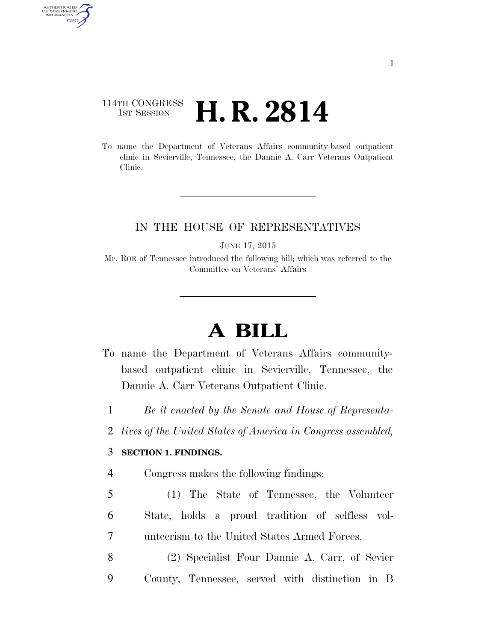## 114TH CONGRESS 1st Session **H. R. 2814**

AUTHENTICATED<br>U.S. GOVERNMENT<br>INFORMATION GPO

> To name the Department of Veterans Affairs community-based outpatient clinic in Sevierville, Tennessee, the Dannie A. Carr Veterans Outpatient Clinic.

## IN THE HOUSE OF REPRESENTATIVES

JUNE 17, 2015

Mr. ROE of Tennessee introduced the following bill; which was referred to the Committee on Veterans' Affairs

## **A BILL**

- To name the Department of Veterans Affairs communitybased outpatient clinic in Sevierville, Tennessee, the Dannie A. Carr Veterans Outpatient Clinic.
	- 1 *Be it enacted by the Senate and House of Representa-*
- 2 *tives of the United States of America in Congress assembled,*

## 3 **SECTION 1. FINDINGS.**

- 4 Congress makes the following findings:
- 5 (1) The State of Tennessee, the Volunteer 6 State, holds a proud tradition of selfless vol-7 unteerism to the United States Armed Forces.
- 8 (2) Specialist Four Dannie A. Carr, of Sevier 9 County, Tennessee, served with distinction in B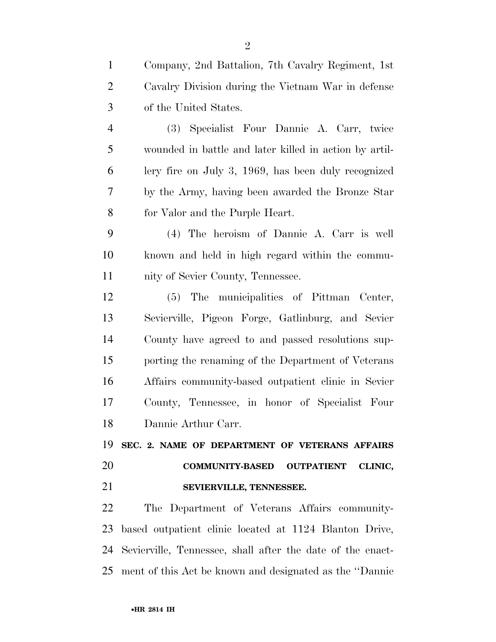| $\mathbf{1}$   | Company, 2nd Battalion, 7th Cavalry Regiment, 1st      |
|----------------|--------------------------------------------------------|
| $\overline{2}$ | Cavalry Division during the Vietnam War in defense     |
| 3              | of the United States.                                  |
| $\overline{4}$ | (3) Specialist Four Dannie A. Carr, twice              |
| 5              | wounded in battle and later killed in action by artil- |
| 6              | lery fire on July 3, $1969$ , has been duly recognized |
| 7              | by the Army, having been awarded the Bronze Star       |
| 8              | for Valor and the Purple Heart.                        |
| 9              | (4) The heroism of Dannie A. Carr is well              |
| 10             | known and held in high regard within the commu-        |
| 11             | nity of Sevier County, Tennessee.                      |
| 12             | (5) The municipalities of Pittman Center,              |
| 13             | Sevierville, Pigeon Forge, Gatlinburg, and Sevier      |
| 14             | County have agreed to and passed resolutions sup-      |
| 15             | porting the renaming of the Department of Veterans     |
| 16             | Affairs community-based outpatient clinic in Sevier    |
| 17             | County, Tennessee, in honor of Specialist Four         |
| 18             | Dannie Arthur Carr.                                    |
|                |                                                        |
| 19             | SEC. 2. NAME OF DEPARTMENT OF VETERANS AFFAIRS         |
| 20             | COMMUNITY-BASED OUTPATIENT CLINIC,                     |
| 21             | SEVIERVILLE, TENNESSEE.                                |
| 22             | The Department of Veterans Affairs community-          |
| 23             | based outpatient clinic located at 1124 Blanton Drive, |